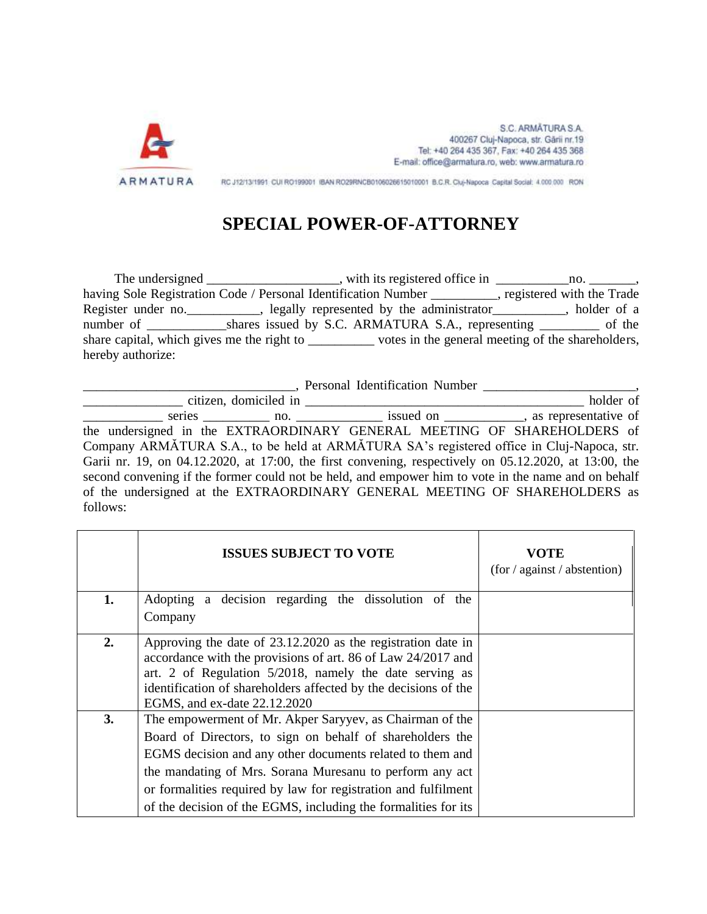

S.C. ARMATURA S.A. 400267 Cluj-Napoca, str. Gārii nr.19 Tel: +40 264 435 367, Fax: +40 264 435 368 E-mail: office@armatura.ro, web: www.armatura.ro

RC J12/13/1991 CUI RO199001 IBAN RO29RNCB0106026615010001 B.C.R. Cluj-Napoca Capital Social: 4.000.000 RON

## **SPECIAL POWER-OF-ATTORNEY**

The undersigned \_\_\_\_\_\_\_\_\_\_\_\_\_\_\_\_\_, with its registered office in \_\_\_\_\_\_\_\_\_\_\_\_\_\_\_\_ no. \_\_\_\_\_\_\_\_, having Sole Registration Code / Personal Identification Number \_\_\_\_\_\_\_\_, registered with the Trade Register under no.\_\_\_\_\_\_\_\_\_\_\_, legally represented by the administrator\_\_\_\_\_\_\_\_\_\_\_, holder of a number of \_\_\_\_\_\_\_\_\_\_\_\_\_\_shares issued by S.C. ARMATURA S.A., representing \_\_\_\_\_\_\_\_\_\_\_ of the share capital, which gives me the right to \_\_\_\_\_\_\_\_\_\_\_\_\_ votes in the general meeting of the shareholders, hereby authorize:

\_\_\_\_\_\_\_\_\_\_\_\_\_\_\_\_\_\_\_\_\_\_\_\_\_\_\_\_\_\_\_\_, Personal Identification Number \_\_\_\_\_\_\_\_\_\_\_\_\_\_\_\_\_\_\_\_\_\_\_, \_\_\_\_\_\_\_\_\_\_\_\_\_\_\_ citizen, domiciled in \_\_\_\_\_\_\_\_\_\_\_\_\_\_\_\_\_\_\_\_\_\_\_\_\_\_\_\_\_\_\_\_\_\_\_\_\_\_\_\_\_\_ holder of \_\_\_\_\_\_\_\_\_\_\_\_ series \_\_\_\_\_\_\_\_\_\_ no. \_\_\_\_\_\_\_\_\_\_\_\_\_ issued on \_\_\_\_\_\_\_\_\_\_\_\_, as representative of the undersigned in the EXTRAORDINARY GENERAL MEETING OF SHAREHOLDERS of Company ARMĂTURA S.A., to be held at ARMĂTURA SA's registered office in Cluj-Napoca, str. Garii nr. 19, on 04.12.2020, at 17:00, the first convening, respectively on 05.12.2020, at 13:00, the second convening if the former could not be held, and empower him to vote in the name and on behalf of the undersigned at the EXTRAORDINARY GENERAL MEETING OF SHAREHOLDERS as follows:

|    | <b>ISSUES SUBJECT TO VOTE</b>                                                                                                                                                                                                                                                                                                                                                      | VOTE<br>(for / against / abstraction) |
|----|------------------------------------------------------------------------------------------------------------------------------------------------------------------------------------------------------------------------------------------------------------------------------------------------------------------------------------------------------------------------------------|---------------------------------------|
| 1. | Adopting a decision regarding the dissolution of the<br>Company                                                                                                                                                                                                                                                                                                                    |                                       |
| 2. | Approving the date of 23.12.2020 as the registration date in<br>accordance with the provisions of art. 86 of Law 24/2017 and<br>art. 2 of Regulation 5/2018, namely the date serving as<br>identification of shareholders affected by the decisions of the<br>EGMS, and ex-date 22.12.2020                                                                                         |                                       |
| 3. | The empowerment of Mr. Akper Saryyev, as Chairman of the<br>Board of Directors, to sign on behalf of shareholders the<br>EGMS decision and any other documents related to them and<br>the mandating of Mrs. Sorana Muresanu to perform any act<br>or formalities required by law for registration and fulfilment<br>of the decision of the EGMS, including the formalities for its |                                       |